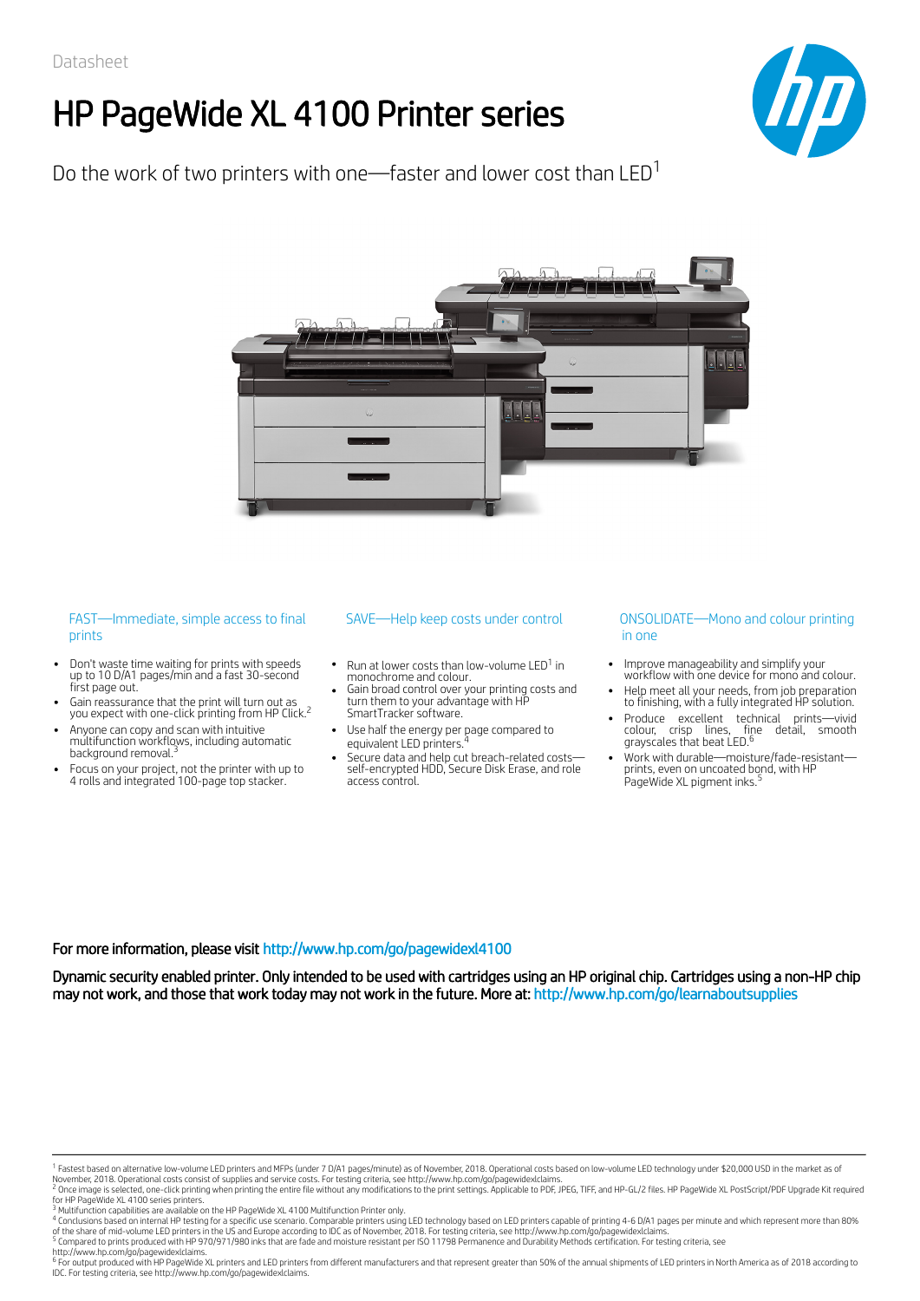# HP PageWide XL 4100 Printer series



Do the work of two printers with one—faster and lower cost than LED $^{\rm 1}$ 



### FAST—Immediate, simple access to final prints

- Don't waste time waiting for prints with speeds up to 10 D/A1 pages/min and a fast 30-second first page out.
- Gain reassurance that the print will turn out as you expect with one-click printing from HP Click.<sup>2</sup>
- Anyone can copy and scan with intuitive multifunction workflows, including automatic 3 background removal.
- Focus on your project, not the printer with up to 4 rolls and integrated 100-page top stacker.

#### SAVE-Help keep costs under control

- Run at lower costs than low-volume LED<sup>1</sup> in monochrome and colour.
- Gain broad control over your printing costs and turn them to your advantage with HP SmartTracker software.
- Use half the energy per page compared to equivalent LED printers.
- Secure data and help cut breach-related costs self-encrypted HDD, Secure Disk Erase, and role access control.

#### CONSOLIDATE—Mono and color printing in ONSOLIDATE—Mono and colour printing in one

- Improve manageability and simplify your workflow with one device for mono and colour.
- Help meet all your needs, from job preparation to finishing, with a fully integrated HP solution.
- Produce excellent technical prints—vivid<br>colour, crisp lines, fine detail, smooth<br>grayscales.that.beat.LED.<sup>6</sup>
- Work with durable—moisture/fade-resistant prints, even on uncoated bond, with HP PageWide XL pigment inks.<sup>5</sup>

#### For more information, please visit http://www.hp.com/go/pagewidexl4100

Dynamic security enabled printer. Only intended to be used with cartridges using an HP original chip. Cartridges using a non-HP chip may not work, and those that work today may not work in the future. More at: http://www.hp.com/go/learnaboutsupplies

http://www.hp.com/go/pagewidexlclaims.<br><sup>6</sup> For output produced with HP PageWide XL printers and LED printers from different manufacturers and that represent greater than 50% of the annual shipments of LED printers in North IDC. For testing criteria, see http://www.hp.com/go/pagewidexlclaims.

<sup>&</sup>lt;sup>1</sup> Fastest based on alternative low-volume LED printers and MFPs (under 7 D/A1 pages/minute) as of November, 2018. Operational costs based on low-volume LED technology under \$20,000 USD in the market as of<br>November, 2018. 1

for HP PageWide XL 4100 series printers.<br><sup>3</sup> Multifunction capabilities are available on the HP PageWide XL 4100 Multifunction Printer only. 2

<sup>&</sup>lt;sup>4</sup> Conclusions based on internal HP testing for a specific use scenario. Comparable printers using LED technology based on LED printers capable of printing 4-6 D/A1 pages per minute and which represent more than 80%<br>of th

<sup>&</sup>lt;sup>5</sup> Compared to prints produced with HP 970/971/980 inks that are fade and moisture resistant per ISO 11798 Permanence and Durability Methods certification. For testing criteria, see